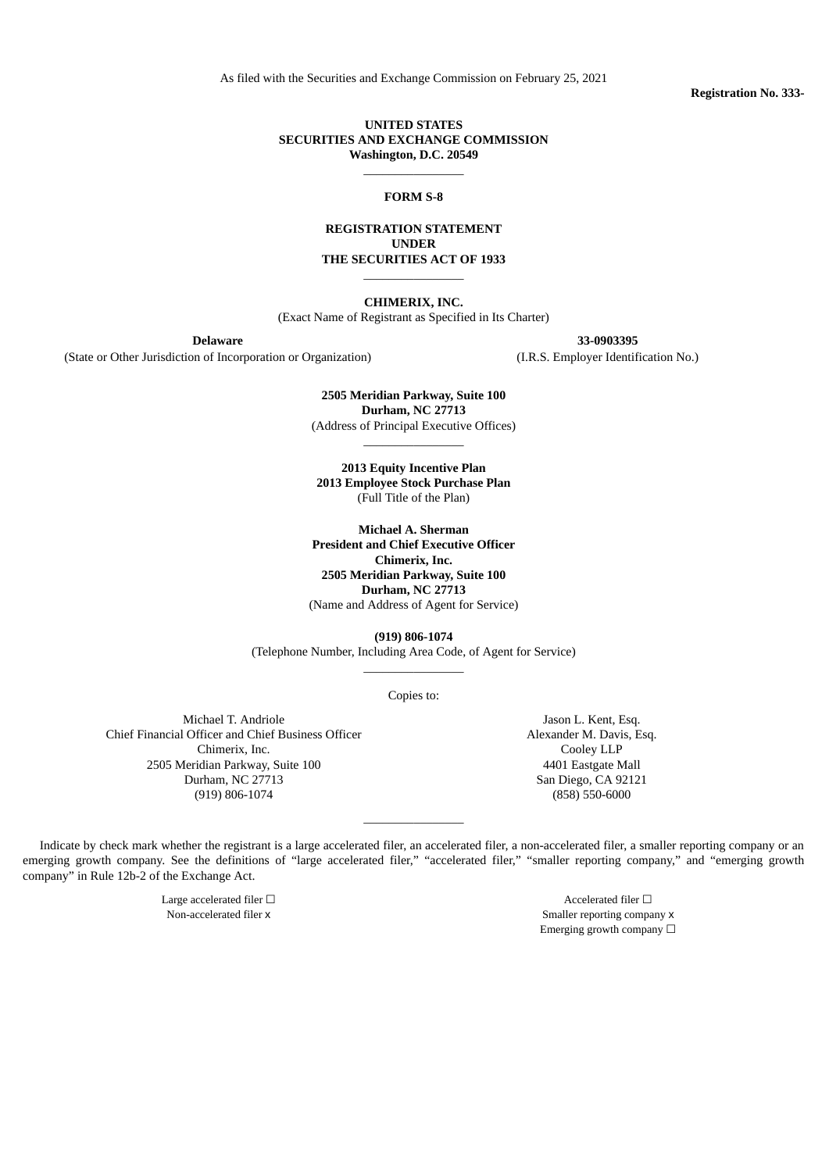As filed with the Securities and Exchange Commission on February 25, 2021

#### **UNITED STATES SECURITIES AND EXCHANGE COMMISSION Washington, D.C. 20549**

 $\overline{\phantom{a}}$  , where  $\overline{\phantom{a}}$ 

**FORM S-8**

**REGISTRATION STATEMENT UNDER THE SECURITIES ACT OF 1933**

 $\overline{\phantom{a}}$  , where  $\overline{\phantom{a}}$ 

**CHIMERIX, INC.**

(Exact Name of Registrant as Specified in Its Charter)

(State or Other Jurisdiction of Incorporation or Organization) (I.R.S. Employer Identification No.)

**Delaware 33-0903395**

**2505 Meridian Parkway, Suite 100 Durham, NC 27713** (Address of Principal Executive Offices)

\_\_\_\_\_\_\_\_\_\_\_\_\_\_\_\_

**2013 Equity Incentive Plan 2013 Employee Stock Purchase Plan** (Full Title of the Plan)

**Michael A. Sherman President and Chief Executive Officer Chimerix, Inc. 2505 Meridian Parkway, Suite 100 Durham, NC 27713** (Name and Address of Agent for Service)

**(919) 806-1074** (Telephone Number, Including Area Code, of Agent for Service) \_\_\_\_\_\_\_\_\_\_\_\_\_\_\_\_

Copies to:

Michael T. Andriole Chief Financial Officer and Chief Business Officer Chimerix, Inc. 2505 Meridian Parkway, Suite 100 Durham, NC 27713 (919) 806-1074

Jason L. Kent, Esq. Alexander M. Davis, Esq. Cooley LLP 4401 Eastgate Mall San Diego, CA 92121 (858) 550-6000

Indicate by check mark whether the registrant is a large accelerated filer, an accelerated filer, a non-accelerated filer, a smaller reporting company or an emerging growth company. See the definitions of "large accelerated filer," "accelerated filer," "smaller reporting company," and "emerging growth company" in Rule 12b-2 of the Exchange Act.

\_\_\_\_\_\_\_\_\_\_\_\_\_\_\_\_

Large accelerated filer  $\Box$ Non-accelerated filer x  $\sim$  Smaller reporting company x Emerging growth company  $\Box$  **Registration No. 333-**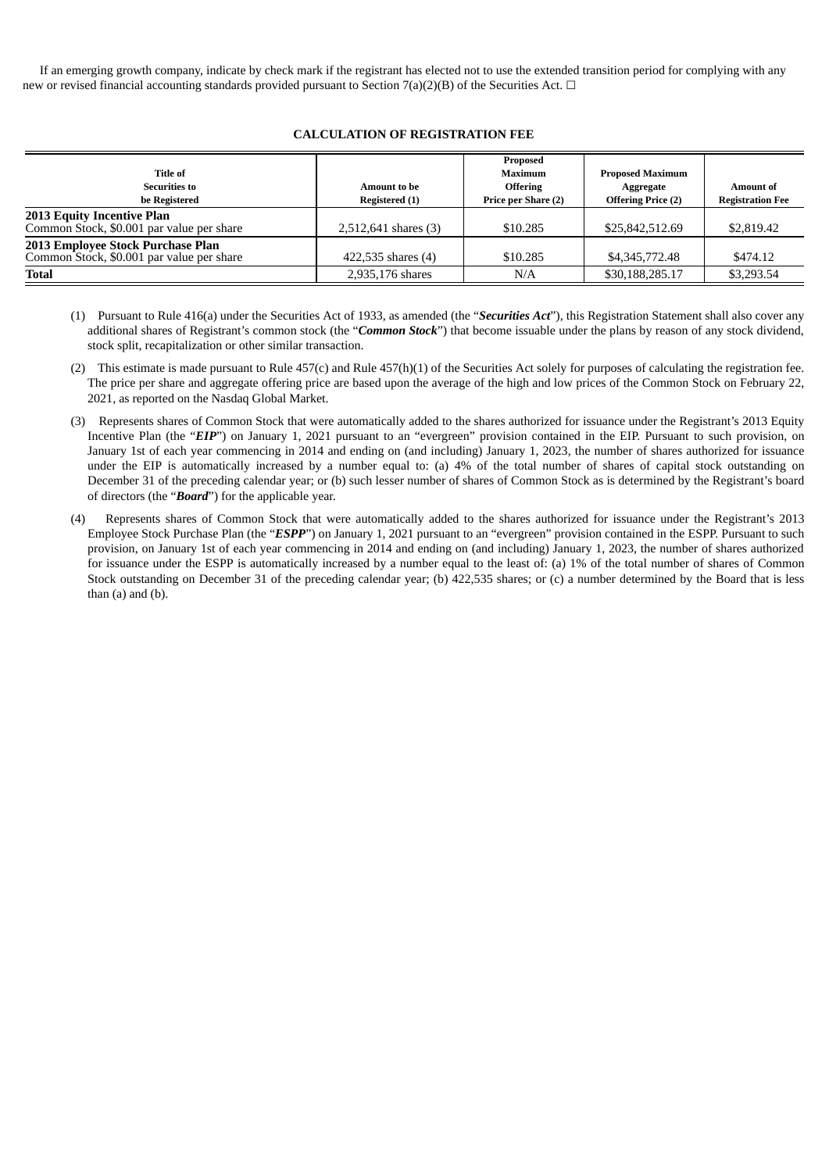If an emerging growth company, indicate by check mark if the registrant has elected not to use the extended transition period for complying with any new or revised financial accounting standards provided pursuant to Section 7(a)(2)(B) of the Securities Act.  $\Box$ 

## **CALCULATION OF REGISTRATION FEE**

| Title of<br><b>Securities to</b><br>be Registered                              | <b>Amount to be</b><br>Registered (1) | Proposed<br>Maximum<br><b>Offering</b><br>Price per Share (2) | <b>Proposed Maximum</b><br>Aggregate<br><b>Offering Price (2)</b> | <b>Amount of</b><br><b>Registration Fee</b> |
|--------------------------------------------------------------------------------|---------------------------------------|---------------------------------------------------------------|-------------------------------------------------------------------|---------------------------------------------|
| <b>2013 Equity Incentive Plan</b><br>Common Stock, \$0.001 par value per share | 2,512,641 shares (3)                  | \$10.285                                                      | \$25,842,512.69                                                   | \$2,819.42                                  |
| 2013 Employee Stock Purchase Plan<br>Common Stock, \$0.001 par value per share | 422,535 shares (4)                    | \$10.285                                                      | \$4,345,772.48                                                    | \$474.12                                    |
| <b>Total</b>                                                                   | 2,935,176 shares                      | N/A                                                           | \$30,188,285.17                                                   | \$3,293.54                                  |

- (1) Pursuant to Rule 416(a) under the Securities Act of 1933, as amended (the "*Securities Act*"), this Registration Statement shall also cover any additional shares of Registrant's common stock (the "*Common Stock*") that become issuable under the plans by reason of any stock dividend, stock split, recapitalization or other similar transaction.
- (2) This estimate is made pursuant to Rule 457(c) and Rule 457(h)(1) of the Securities Act solely for purposes of calculating the registration fee. The price per share and aggregate offering price are based upon the average of the high and low prices of the Common Stock on February 22, 2021, as reported on the Nasdaq Global Market.
- (3) Represents shares of Common Stock that were automatically added to the shares authorized for issuance under the Registrant's 2013 Equity Incentive Plan (the "*EIP*") on January 1, 2021 pursuant to an "evergreen" provision contained in the EIP. Pursuant to such provision, on January 1st of each year commencing in 2014 and ending on (and including) January 1, 2023, the number of shares authorized for issuance under the EIP is automatically increased by a number equal to: (a) 4% of the total number of shares of capital stock outstanding on December 31 of the preceding calendar year; or (b) such lesser number of shares of Common Stock as is determined by the Registrant's board of directors (the "*Board*") for the applicable year.
- (4) Represents shares of Common Stock that were automatically added to the shares authorized for issuance under the Registrant's 2013 Employee Stock Purchase Plan (the "*ESPP*") on January 1, 2021 pursuant to an "evergreen" provision contained in the ESPP. Pursuant to such provision, on January 1st of each year commencing in 2014 and ending on (and including) January 1, 2023, the number of shares authorized for issuance under the ESPP is automatically increased by a number equal to the least of: (a) 1% of the total number of shares of Common Stock outstanding on December 31 of the preceding calendar year; (b) 422,535 shares; or (c) a number determined by the Board that is less than (a) and (b).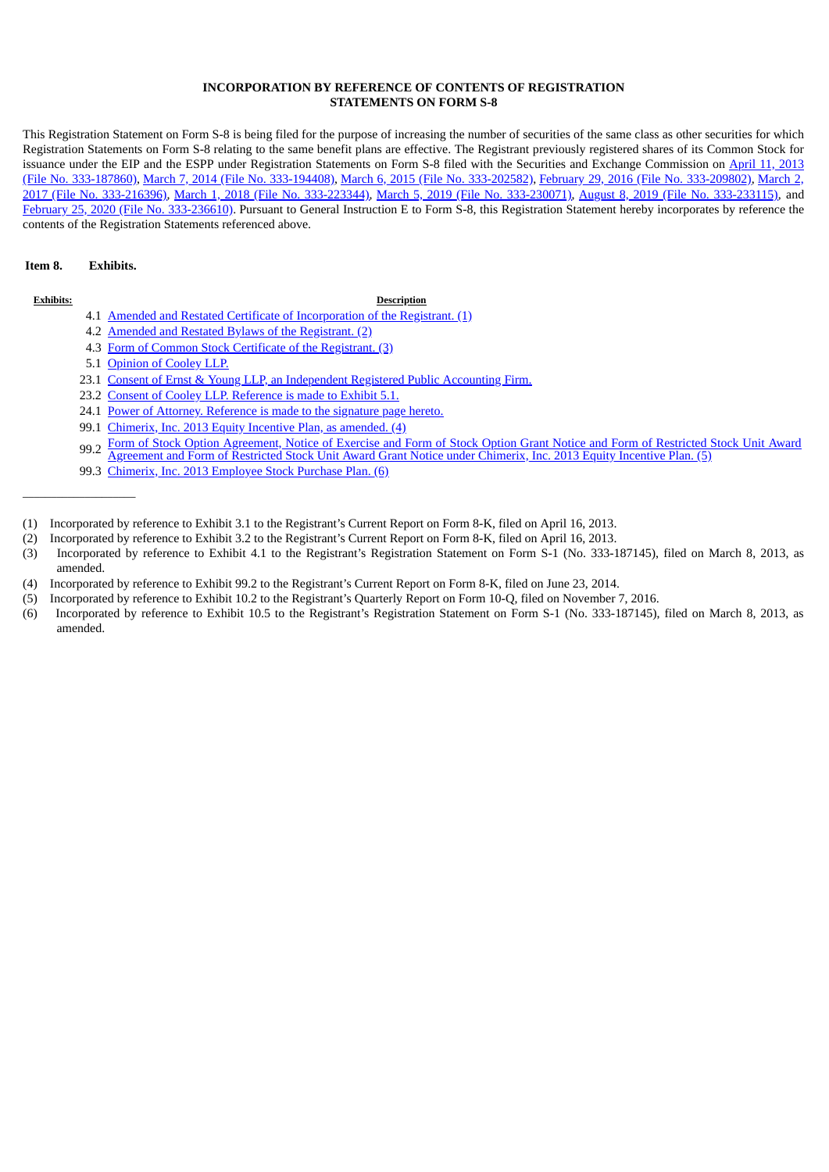### **INCORPORATION BY REFERENCE OF CONTENTS OF REGISTRATION STATEMENTS ON FORM S-8**

This Registration Statement on Form S-8 is being filed for the purpose of increasing the number of securities of the same class as other securities for which Registration Statements on Form S-8 relating to the same benefit plans are effective. The Registrant previously registered shares of its Common Stock for issuance under the EIP and the ESPP under Registration Statements on Form S-8 filed with the Securities and Exchange Commission on April 11, 2013 (File No. 333-187860), March 7, 2014 (File No. [333-194408\)](http://www.sec.gov/Archives/edgar/data/1117480/000114420414014129/v370627_s8.htm), March 6, 2015 (File No. [333-202582\),](http://www.sec.gov/Archives/edgar/data/1117480/000162828015001590/forms-803062015.htm) February 29, 2016 (File No. [333-209802\),](http://www.sec.gov/Archives/edgar/data/1117480/000114420413021225/v340489_s-8.htm) March 2, 2017 (File No. 333-216396), March 1, 2018 (File No. [333-223344\)](http://www.sec.gov/Archives/edgar/data/1117480/000111748018000010/a201831cmrxs-8evergreensha.htm), March 5, 2019 (File No. [333-230071\),](http://www.sec.gov/Archives/edgar/data/1117480/000111748019000011/a201935cmrxs-8evergreensha.htm) August 8, 2019 (File No. [333-233115\),](http://www.sec.gov/Archives/edgar/data/1117480/000111748019000036/a20190808cmrxs-8inducement.htm) and February 25, 2020 (File No. [333-236610\).](http://www.sec.gov/Archives/edgar/data/1117480/000111748020000008/a2020225cmrxs-8evergreensh.htm) Pursuant to General Instruction E to Form S-8, this Registration Statement hereby incorporates by reference the contents of the Registration Statements referenced above.

## **Item 8. Exhibits.**

 $\_$ 

#### **Exhibits: Description**

- 4.1 Amended and Restated Certificate of [Incorporation](http://www.sec.gov/Archives/edgar/data/1117480/000114420413022142/v340476_ex3-1.htm) of the Registrant. (1)
- 4.2 Amended and Restated Bylaws of the [Registrant.](http://www.sec.gov/Archives/edgar/data/1117480/000114420413022142/v340476_ex3-2.htm) (2)
- 4.3 Form of Common Stock Certificate of the [Registrant.](http://www.sec.gov/Archives/edgar/data/1117480/000114420413017647/v338669_ex4-1.htm) (3)
- 5.1 [Opinion](#page-5-0) of Cooley LLP.
- 23.1 Consent of Ernst & Young LLP, an [Independent](#page-6-0) Registered Public Accounting Firm.
- 23.2 Consent of Cooley LLP. [Reference](#page-5-0) is made to Exhibit 5.1.
- 24.1 Power of Attorney. [Reference](#page-3-0) is made to the signature page hereto.
- 99.1 [Chimerix,](http://www.sec.gov/Archives/edgar/data/1117480/000114420414039033/v382082_ex99-2.htm) Inc. 2013 Equity Incentive Plan, as amended. (4)
- 99.2 Form of Stock Option [Agreement,](http://www.sec.gov/Archives/edgar/data/1117480/000111748016000056/a20160930cmrxex-102.htm) Notice of Exercise and Form of Stock Option Grant Notice and Form of Restricted Stock Unit Award<br>Agreement and Form of Bestricted Stock Unit Award Crant Notice under Chimerix, Inc. 2012 Agreement and Form of Restricted Stock Unit Award Grant Notice under Chimerix, Inc. 2013 Equity Incentive Plan. (5)
- 99.3 Chimerix, Inc. 2013 [Employee](http://www.sec.gov/Archives/edgar/data/1117480/000114420413017647/v338669_ex10-5.htm) Stock Purchase Plan. (6)
- (1) Incorporated by reference to Exhibit 3.1 to the Registrant's Current Report on Form 8-K, filed on April 16, 2013.
- (2) Incorporated by reference to Exhibit 3.2 to the Registrant's Current Report on Form 8-K, filed on April 16, 2013.
- (3) Incorporated by reference to Exhibit 4.1 to the Registrant's Registration Statement on Form S-1 (No. 333-187145), filed on March 8, 2013, as amended.
- (4) Incorporated by reference to Exhibit 99.2 to the Registrant's Current Report on Form 8-K, filed on June 23, 2014.
- (5) Incorporated by reference to Exhibit 10.2 to the Registrant's Quarterly Report on Form 10-Q, filed on November 7, 2016.
- (6) Incorporated by reference to Exhibit 10.5 to the Registrant's Registration Statement on Form S-1 (No. 333-187145), filed on March 8, 2013, as amended.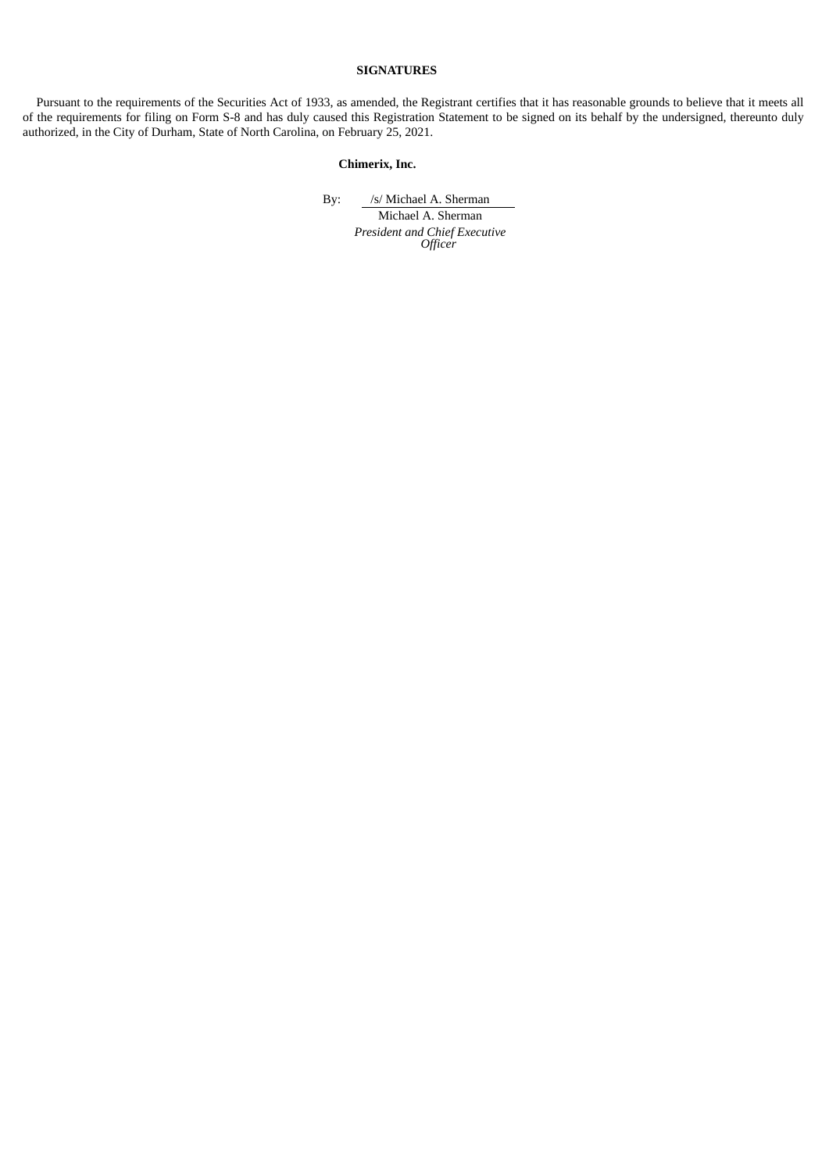## **SIGNATURES**

<span id="page-3-0"></span>Pursuant to the requirements of the Securities Act of 1933, as amended, the Registrant certifies that it has reasonable grounds to believe that it meets all of the requirements for filing on Form S-8 and has duly caused this Registration Statement to be signed on its behalf by the undersigned, thereunto duly authorized, in the City of Durham, State of North Carolina, on February 25, 2021.

# **Chimerix, Inc.**

By: /s/ Michael A. Sherman

Michael A. Sherman *President and Chief Executive Officer*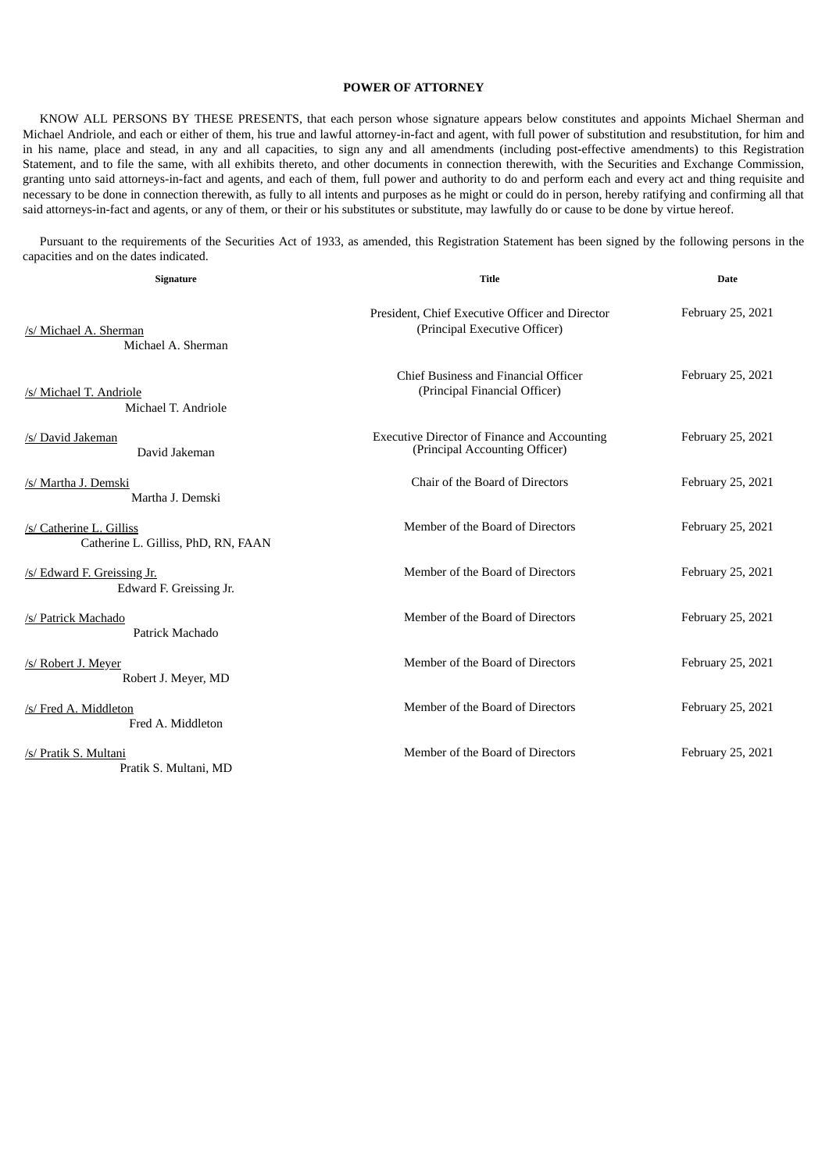## **POWER OF ATTORNEY**

KNOW ALL PERSONS BY THESE PRESENTS, that each person whose signature appears below constitutes and appoints Michael Sherman and Michael Andriole, and each or either of them, his true and lawful attorney-in-fact and agent, with full power of substitution and resubstitution, for him and in his name, place and stead, in any and all capacities, to sign any and all amendments (including post-effective amendments) to this Registration Statement, and to file the same, with all exhibits thereto, and other documents in connection therewith, with the Securities and Exchange Commission, granting unto said attorneys-in-fact and agents, and each of them, full power and authority to do and perform each and every act and thing requisite and necessary to be done in connection therewith, as fully to all intents and purposes as he might or could do in person, hereby ratifying and confirming all that said attorneys-in-fact and agents, or any of them, or their or his substitutes or substitute, may lawfully do or cause to be done by virtue hereof.

Pursuant to the requirements of the Securities Act of 1933, as amended, this Registration Statement has been signed by the following persons in the capacities and on the dates indicated.

| Signature                                                       | <b>Title</b>                                                                          | <b>Date</b>       |  |
|-----------------------------------------------------------------|---------------------------------------------------------------------------------------|-------------------|--|
| /s/ Michael A. Sherman<br>Michael A. Sherman                    | President, Chief Executive Officer and Director<br>(Principal Executive Officer)      | February 25, 2021 |  |
| /s/ Michael T. Andriole<br>Michael T. Andriole                  | Chief Business and Financial Officer<br>(Principal Financial Officer)                 | February 25, 2021 |  |
| /s/ David Jakeman<br>David Jakeman                              | <b>Executive Director of Finance and Accounting</b><br>(Principal Accounting Officer) | February 25, 2021 |  |
| /s/ Martha J. Demski<br>Martha J. Demski                        | Chair of the Board of Directors                                                       | February 25, 2021 |  |
| /s/ Catherine L. Gilliss<br>Catherine L. Gilliss, PhD, RN, FAAN | Member of the Board of Directors                                                      | February 25, 2021 |  |
| /s/ Edward F. Greissing Jr.<br>Edward F. Greissing Jr.          | Member of the Board of Directors                                                      | February 25, 2021 |  |
| /s/ Patrick Machado<br>Patrick Machado                          | Member of the Board of Directors                                                      | February 25, 2021 |  |
| /s/ Robert J. Meyer<br>Robert J. Meyer, MD                      | Member of the Board of Directors                                                      | February 25, 2021 |  |
| /s/ Fred A. Middleton<br>Fred A. Middleton                      | Member of the Board of Directors                                                      | February 25, 2021 |  |
| /s/ Pratik S. Multani<br>Pratik S. Multani, MD                  | Member of the Board of Directors                                                      | February 25, 2021 |  |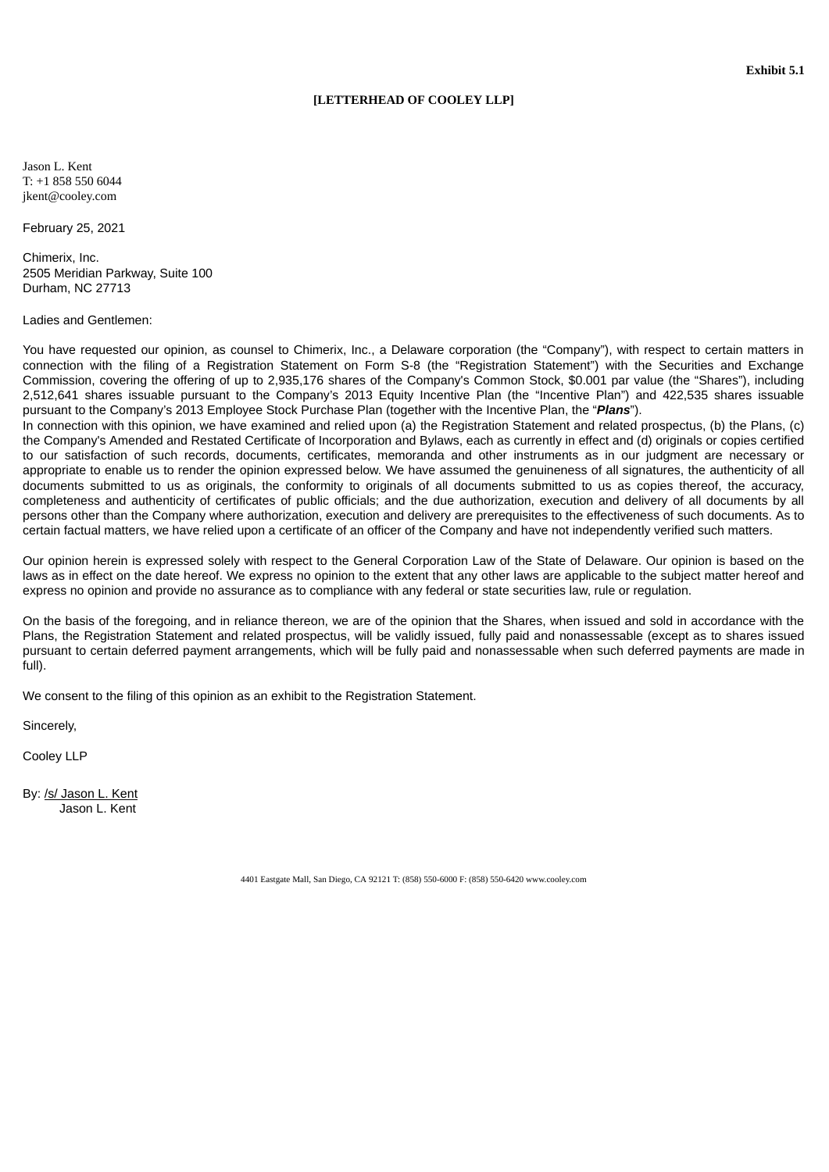## **[LETTERHEAD OF COOLEY LLP]**

<span id="page-5-0"></span>Jason L. Kent T: +1 858 550 6044 jkent@cooley.com

February 25, 2021

Chimerix, Inc. 2505 Meridian Parkway, Suite 100 Durham, NC 27713

## Ladies and Gentlemen:

You have requested our opinion, as counsel to Chimerix, Inc., a Delaware corporation (the "Company"), with respect to certain matters in connection with the filing of a Registration Statement on Form S-8 (the "Registration Statement") with the Securities and Exchange Commission, covering the offering of up to 2,935,176 shares of the Company's Common Stock, \$0.001 par value (the "Shares"), including 2,512,641 shares issuable pursuant to the Company's 2013 Equity Incentive Plan (the "Incentive Plan") and 422,535 shares issuable pursuant to the Company's 2013 Employee Stock Purchase Plan (together with the Incentive Plan, the "*Plans*").

In connection with this opinion, we have examined and relied upon (a) the Registration Statement and related prospectus, (b) the Plans, (c) the Company's Amended and Restated Certificate of Incorporation and Bylaws, each as currently in effect and (d) originals or copies certified to our satisfaction of such records, documents, certificates, memoranda and other instruments as in our judgment are necessary or appropriate to enable us to render the opinion expressed below. We have assumed the genuineness of all signatures, the authenticity of all documents submitted to us as originals, the conformity to originals of all documents submitted to us as copies thereof, the accuracy, completeness and authenticity of certificates of public officials; and the due authorization, execution and delivery of all documents by all persons other than the Company where authorization, execution and delivery are prerequisites to the effectiveness of such documents. As to certain factual matters, we have relied upon a certificate of an officer of the Company and have not independently verified such matters.

Our opinion herein is expressed solely with respect to the General Corporation Law of the State of Delaware. Our opinion is based on the laws as in effect on the date hereof. We express no opinion to the extent that any other laws are applicable to the subject matter hereof and express no opinion and provide no assurance as to compliance with any federal or state securities law, rule or regulation.

On the basis of the foregoing, and in reliance thereon, we are of the opinion that the Shares, when issued and sold in accordance with the Plans, the Registration Statement and related prospectus, will be validly issued, fully paid and nonassessable (except as to shares issued pursuant to certain deferred payment arrangements, which will be fully paid and nonassessable when such deferred payments are made in full).

We consent to the filing of this opinion as an exhibit to the Registration Statement.

Sincerely,

Cooley LLP

By: /s/ Jason L. Kent Jason L. Kent

4401 Eastgate Mall, San Diego, CA 92121 T: (858) 550-6000 F: (858) 550-6420 www.cooley.com